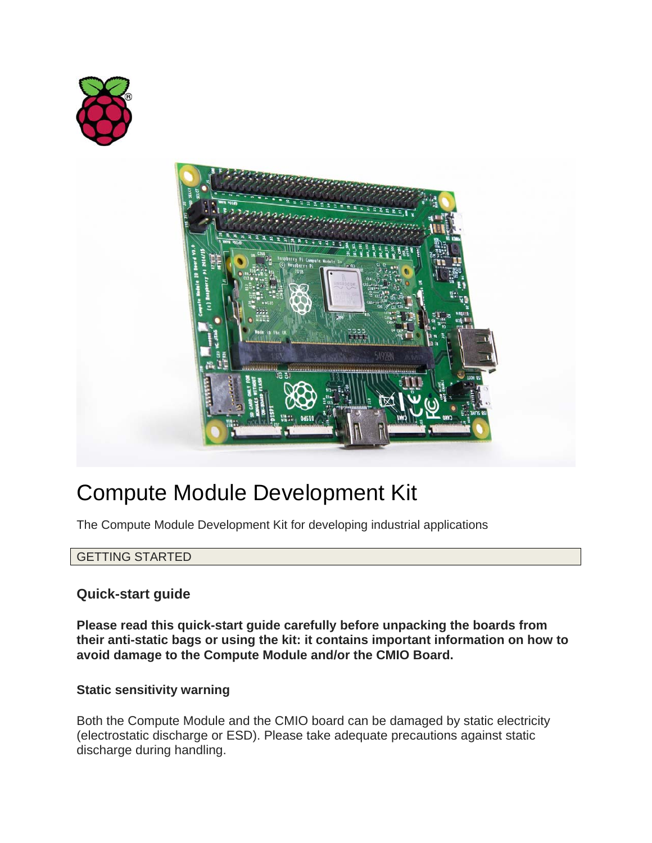



# Compute Module Development Kit

The Compute Module Development Kit for developing industrial applications

## GETTING STARTED

# **Quick-start guide**

**Please read this quick-start guide carefully before unpacking the boards from their anti-static bags or using the kit: it contains important information on how to avoid damage to the Compute Module and/or the CMIO Board.**

## **Static sensitivity warning**

Both the Compute Module and the CMIO board can be damaged by static electricity (electrostatic discharge or ESD). Please take adequate precautions against static discharge during handling.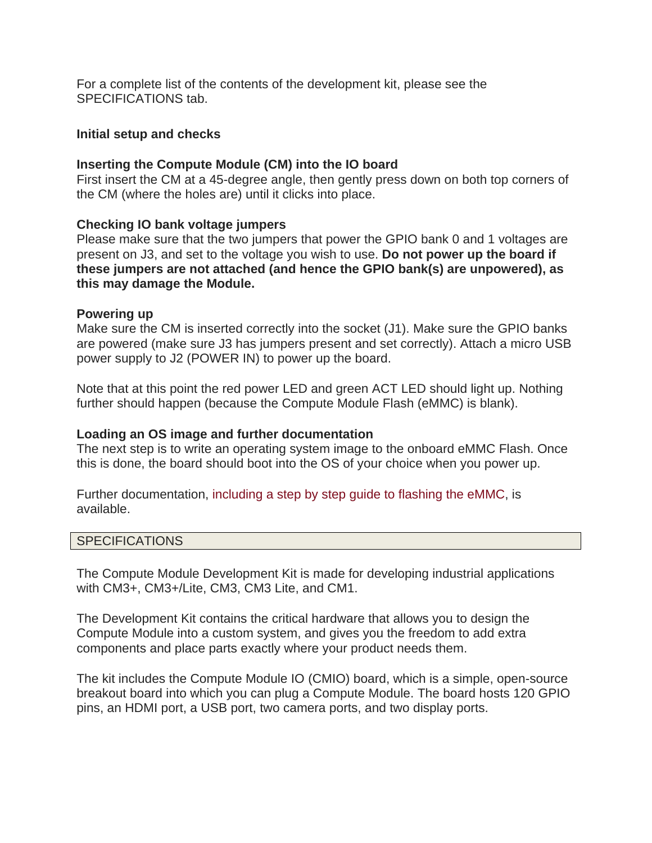For a complete list of the contents of the development kit, please see the SPECIFICATIONS tab.

#### **Initial setup and checks**

#### **Inserting the Compute Module (CM) into the IO board**

First insert the CM at a 45-degree angle, then gently press down on both top corners of the CM (where the holes are) until it clicks into place.

#### **Checking IO bank voltage jumpers**

Please make sure that the two jumpers that power the GPIO bank 0 and 1 voltages are present on J3, and set to the voltage you wish to use. **Do not power up the board if these jumpers are not attached (and hence the GPIO bank(s) are unpowered), as this may damage the Module.**

#### **Powering up**

Make sure the CM is inserted correctly into the socket (J1). Make sure the GPIO banks are powered (make sure J3 has jumpers present and set correctly). Attach a micro USB power supply to J2 (POWER IN) to power up the board.

Note that at this point the red power LED and green ACT LED should light up. Nothing further should happen (because the Compute Module Flash (eMMC) is blank).

#### **Loading an OS image and further documentation**

The next step is to write an operating system image to the onboard eMMC Flash. Once this is done, the board should boot into the OS of your choice when you power up.

Further documentation, including a step by step guide to flashing the eMMC, is available.

#### **SPECIFICATIONS**

The Compute Module Development Kit is made for developing industrial applications with CM3+, CM3+/Lite, CM3, CM3 Lite, and CM1.

The Development Kit contains the critical hardware that allows you to design the Compute Module into a custom system, and gives you the freedom to add extra components and place parts exactly where your product needs them.

The kit includes the Compute Module IO (CMIO) board, which is a simple, open-source breakout board into which you can plug a Compute Module. The board hosts 120 GPIO pins, an HDMI port, a USB port, two camera ports, and two display ports.